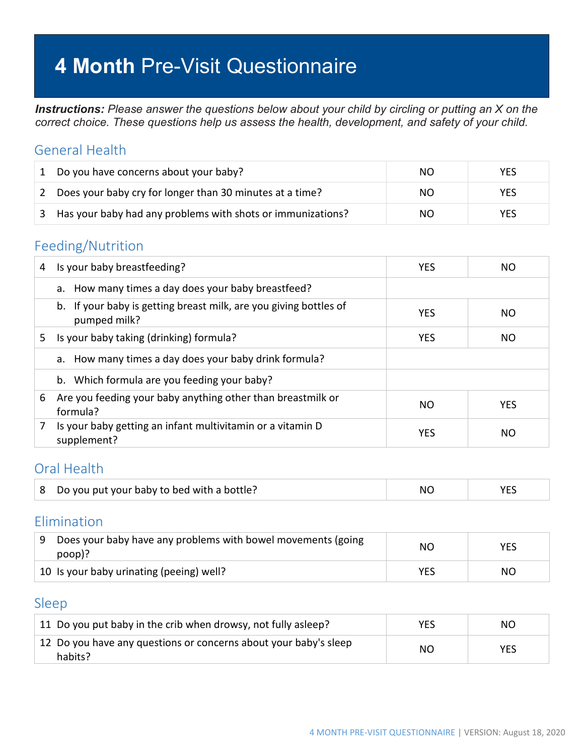# **4 Month** Pre-Visit Questionnaire

*Instructions: Please answer the questions below about your child by circling or putting an X on the correct choice. These questions help us assess the health, development, and safety of your child.*

#### General Health

| 1 | Do you have concerns about your baby?                       | NO. | YES.       |
|---|-------------------------------------------------------------|-----|------------|
|   | Does your baby cry for longer than 30 minutes at a time?    | NO. | <b>YES</b> |
|   | Has your baby had any problems with shots or immunizations? | NO. | YES        |

#### Feeding/Nutrition

| 4  | Is your baby breastfeeding?                                                       | <b>YES</b> | NO.        |
|----|-----------------------------------------------------------------------------------|------------|------------|
|    | a. How many times a day does your baby breastfeed?                                |            |            |
|    | b. If your baby is getting breast milk, are you giving bottles of<br>pumped milk? | <b>YES</b> | NO.        |
| 5. | Is your baby taking (drinking) formula?                                           | <b>YES</b> | NO.        |
|    | a. How many times a day does your baby drink formula?                             |            |            |
|    | b. Which formula are you feeding your baby?                                       |            |            |
| 6  | Are you feeding your baby anything other than breastmilk or<br>formula?           | NO.        | <b>YES</b> |
|    | Is your baby getting an infant multivitamin or a vitamin D<br>supplement?         | <b>YES</b> | NO.        |

#### Oral Health

|  | Do you put your baby to bed with a bottle? | N <sub>0</sub> |  |
|--|--------------------------------------------|----------------|--|
|--|--------------------------------------------|----------------|--|

#### Elimination

| Does your baby have any problems with bowel movements (going<br>$poop$ ? | NO  | <b>YES</b> |
|--------------------------------------------------------------------------|-----|------------|
| 10 Is your baby urinating (peeing) well?                                 | YES | NΟ         |

#### Sleep

| 11 Do you put baby in the crib when drowsy, not fully asleep?                     | <b>YES</b> | NO.        |
|-----------------------------------------------------------------------------------|------------|------------|
| $\pm$ 12 Do you have any questions or concerns about your baby's sleep<br>habits? | NO.        | <b>YES</b> |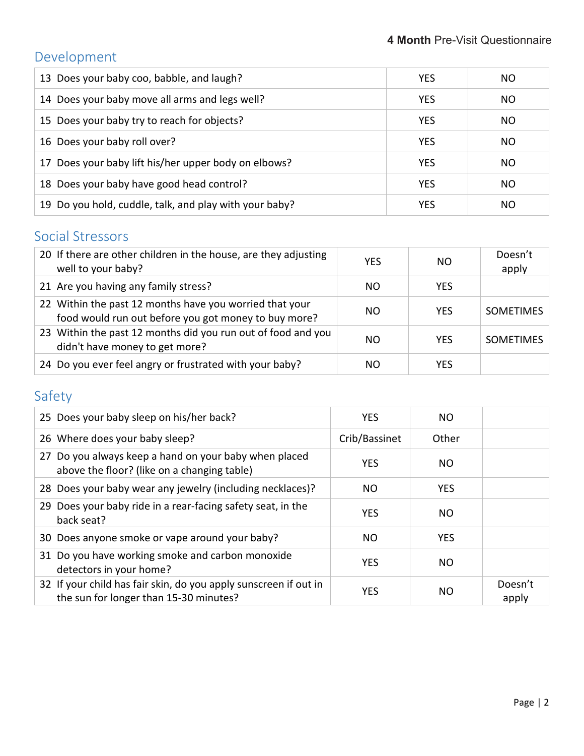# Development

| 13 Does your baby coo, babble, and laugh?              | <b>YES</b> | NO. |
|--------------------------------------------------------|------------|-----|
| 14 Does your baby move all arms and legs well?         | <b>YES</b> | NO. |
| 15 Does your baby try to reach for objects?            | <b>YES</b> | NO. |
| 16 Does your baby roll over?                           | <b>YES</b> | NO. |
| 17 Does your baby lift his/her upper body on elbows?   | <b>YES</b> | NO  |
| 18 Does your baby have good head control?              | <b>YES</b> | NO. |
| 19 Do you hold, cuddle, talk, and play with your baby? | <b>YES</b> | NO. |

# Social Stressors

| 20 If there are other children in the house, are they adjusting<br>well to your baby?                           | <b>YES</b> | NO.        | Doesn't<br>apply |
|-----------------------------------------------------------------------------------------------------------------|------------|------------|------------------|
| 21 Are you having any family stress?                                                                            | NO.        | <b>YES</b> |                  |
| 22 Within the past 12 months have you worried that your<br>food would run out before you got money to buy more? | NO.        | <b>YES</b> | <b>SOMETIMES</b> |
| 23 Within the past 12 months did you run out of food and you<br>didn't have money to get more?                  | NΟ         | <b>YES</b> | <b>SOMETIMES</b> |
| 24 Do you ever feel angry or frustrated with your baby?                                                         | NΟ         | YES        |                  |

## Safety

| 25 Does your baby sleep on his/her back?                                                                   | <b>YES</b>    | NO.        |                  |
|------------------------------------------------------------------------------------------------------------|---------------|------------|------------------|
| 26 Where does your baby sleep?                                                                             | Crib/Bassinet | Other      |                  |
| 27 Do you always keep a hand on your baby when placed<br>above the floor? (like on a changing table)       | <b>YES</b>    | NO.        |                  |
| 28 Does your baby wear any jewelry (including necklaces)?                                                  | NO.           | <b>YES</b> |                  |
| 29 Does your baby ride in a rear-facing safety seat, in the<br>back seat?                                  | <b>YES</b>    | NO.        |                  |
| 30 Does anyone smoke or vape around your baby?                                                             | NO            | <b>YES</b> |                  |
| 31 Do you have working smoke and carbon monoxide<br>detectors in your home?                                | <b>YES</b>    | NO.        |                  |
| 32 If your child has fair skin, do you apply sunscreen if out in<br>the sun for longer than 15-30 minutes? | <b>YES</b>    | NΟ         | Doesn't<br>apply |